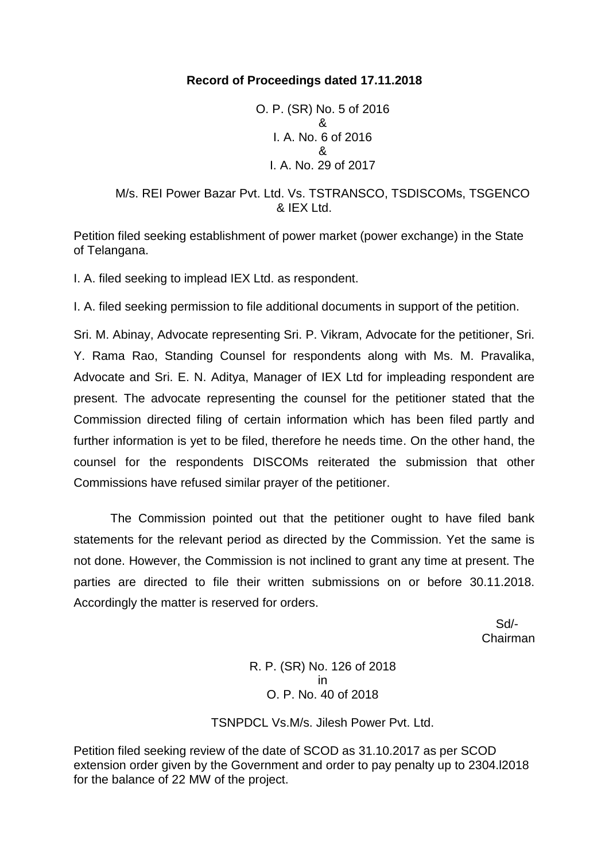## **Record of Proceedings dated 17.11.2018**

O. P. (SR) No. 5 of 2016 & I. A. No. 6 of 2016 & I. A. No. 29 of 2017

### M/s. REI Power Bazar Pvt. Ltd. Vs. TSTRANSCO, TSDISCOMs, TSGENCO & IEX Ltd.

Petition filed seeking establishment of power market (power exchange) in the State of Telangana.

I. A. filed seeking to implead IEX Ltd. as respondent.

I. A. filed seeking permission to file additional documents in support of the petition.

Sri. M. Abinay, Advocate representing Sri. P. Vikram, Advocate for the petitioner, Sri. Y. Rama Rao, Standing Counsel for respondents along with Ms. M. Pravalika, Advocate and Sri. E. N. Aditya, Manager of IEX Ltd for impleading respondent are present. The advocate representing the counsel for the petitioner stated that the Commission directed filing of certain information which has been filed partly and further information is yet to be filed, therefore he needs time. On the other hand, the counsel for the respondents DISCOMs reiterated the submission that other Commissions have refused similar prayer of the petitioner.

The Commission pointed out that the petitioner ought to have filed bank statements for the relevant period as directed by the Commission. Yet the same is not done. However, the Commission is not inclined to grant any time at present. The parties are directed to file their written submissions on or before 30.11.2018. Accordingly the matter is reserved for orders.

 Sd/- Chairman

> R. P. (SR) No. 126 of 2018 in O. P. No. 40 of 2018

TSNPDCL Vs.M/s. Jilesh Power Pvt. Ltd.

Petition filed seeking review of the date of SCOD as 31.10.2017 as per SCOD extension order given by the Government and order to pay penalty up to 2304.l2018 for the balance of 22 MW of the project.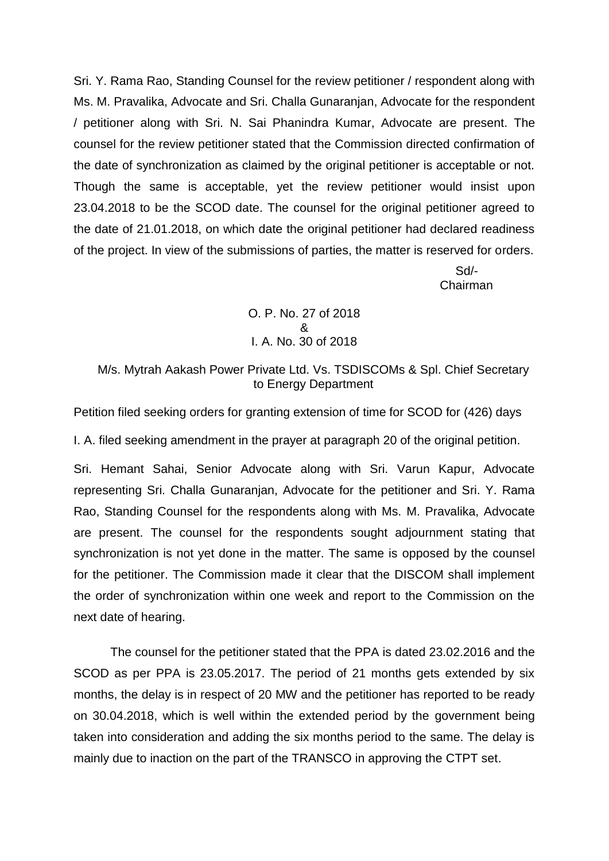Sri. Y. Rama Rao, Standing Counsel for the review petitioner / respondent along with Ms. M. Pravalika, Advocate and Sri. Challa Gunaranjan, Advocate for the respondent / petitioner along with Sri. N. Sai Phanindra Kumar, Advocate are present. The counsel for the review petitioner stated that the Commission directed confirmation of the date of synchronization as claimed by the original petitioner is acceptable or not. Though the same is acceptable, yet the review petitioner would insist upon 23.04.2018 to be the SCOD date. The counsel for the original petitioner agreed to the date of 21.01.2018, on which date the original petitioner had declared readiness of the project. In view of the submissions of parties, the matter is reserved for orders.

> Sd/- Chairman

O. P. No. 27 of 2018 & I. A. No. 30 of 2018

M/s. Mytrah Aakash Power Private Ltd. Vs. TSDISCOMs & Spl. Chief Secretary to Energy Department

Petition filed seeking orders for granting extension of time for SCOD for (426) days

I. A. filed seeking amendment in the prayer at paragraph 20 of the original petition.

Sri. Hemant Sahai, Senior Advocate along with Sri. Varun Kapur, Advocate representing Sri. Challa Gunaranjan, Advocate for the petitioner and Sri. Y. Rama Rao, Standing Counsel for the respondents along with Ms. M. Pravalika, Advocate are present. The counsel for the respondents sought adjournment stating that synchronization is not yet done in the matter. The same is opposed by the counsel for the petitioner. The Commission made it clear that the DISCOM shall implement the order of synchronization within one week and report to the Commission on the next date of hearing.

The counsel for the petitioner stated that the PPA is dated 23.02.2016 and the SCOD as per PPA is 23.05.2017. The period of 21 months gets extended by six months, the delay is in respect of 20 MW and the petitioner has reported to be ready on 30.04.2018, which is well within the extended period by the government being taken into consideration and adding the six months period to the same. The delay is mainly due to inaction on the part of the TRANSCO in approving the CTPT set.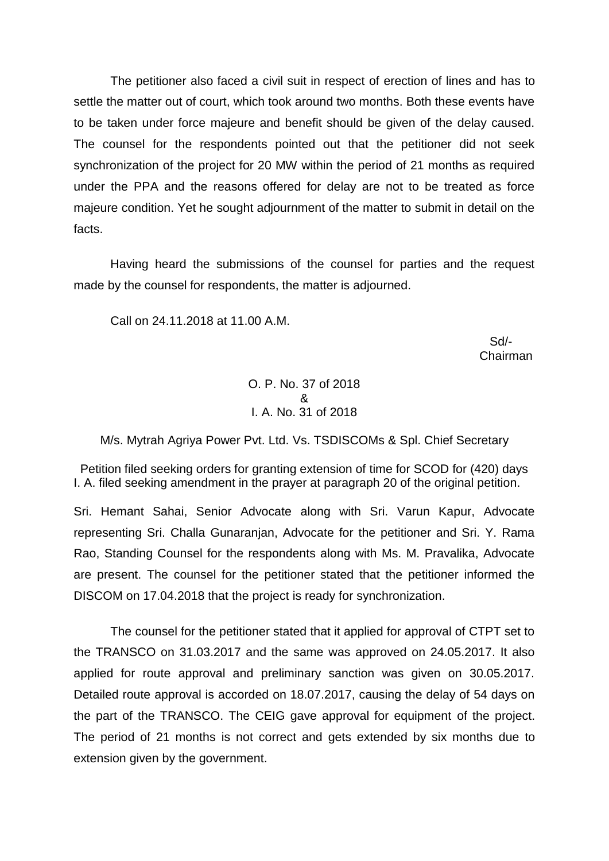The petitioner also faced a civil suit in respect of erection of lines and has to settle the matter out of court, which took around two months. Both these events have to be taken under force majeure and benefit should be given of the delay caused. The counsel for the respondents pointed out that the petitioner did not seek synchronization of the project for 20 MW within the period of 21 months as required under the PPA and the reasons offered for delay are not to be treated as force majeure condition. Yet he sought adjournment of the matter to submit in detail on the facts.

Having heard the submissions of the counsel for parties and the request made by the counsel for respondents, the matter is adjourned.

Call on 24.11.2018 at 11.00 A.M.

 Sd/ in the contract of the contract of the contract of the contract of the contract of the contract of the contract of the contract of the contract of the contract of the contract of the contract of the contract of the contrac

> O. P. No. 37 of 2018 & I. A. No. 31 of 2018

M/s. Mytrah Agriya Power Pvt. Ltd. Vs. TSDISCOMs & Spl. Chief Secretary

Petition filed seeking orders for granting extension of time for SCOD for (420) days I. A. filed seeking amendment in the prayer at paragraph 20 of the original petition.

Sri. Hemant Sahai, Senior Advocate along with Sri. Varun Kapur, Advocate representing Sri. Challa Gunaranjan, Advocate for the petitioner and Sri. Y. Rama Rao, Standing Counsel for the respondents along with Ms. M. Pravalika, Advocate are present. The counsel for the petitioner stated that the petitioner informed the DISCOM on 17.04.2018 that the project is ready for synchronization.

The counsel for the petitioner stated that it applied for approval of CTPT set to the TRANSCO on 31.03.2017 and the same was approved on 24.05.2017. It also applied for route approval and preliminary sanction was given on 30.05.2017. Detailed route approval is accorded on 18.07.2017, causing the delay of 54 days on the part of the TRANSCO. The CEIG gave approval for equipment of the project. The period of 21 months is not correct and gets extended by six months due to extension given by the government.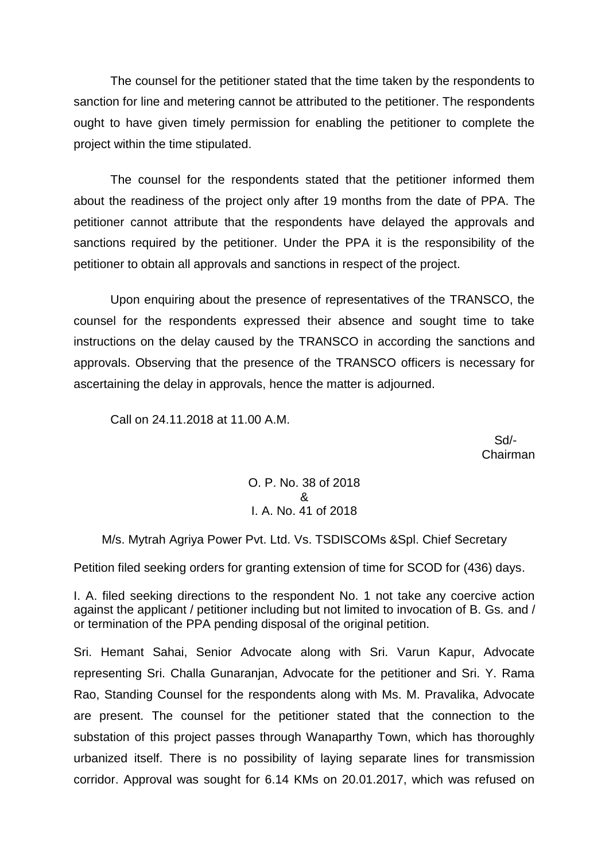The counsel for the petitioner stated that the time taken by the respondents to sanction for line and metering cannot be attributed to the petitioner. The respondents ought to have given timely permission for enabling the petitioner to complete the project within the time stipulated.

The counsel for the respondents stated that the petitioner informed them about the readiness of the project only after 19 months from the date of PPA. The petitioner cannot attribute that the respondents have delayed the approvals and sanctions required by the petitioner. Under the PPA it is the responsibility of the petitioner to obtain all approvals and sanctions in respect of the project.

Upon enquiring about the presence of representatives of the TRANSCO, the counsel for the respondents expressed their absence and sought time to take instructions on the delay caused by the TRANSCO in according the sanctions and approvals. Observing that the presence of the TRANSCO officers is necessary for ascertaining the delay in approvals, hence the matter is adjourned.

Call on 24.11.2018 at 11.00 A.M.

 Sd/- Chairman

> O. P. No. 38 of 2018 & I. A. No. 41 of 2018

M/s. Mytrah Agriya Power Pvt. Ltd. Vs. TSDISCOMs &Spl. Chief Secretary

Petition filed seeking orders for granting extension of time for SCOD for (436) days.

I. A. filed seeking directions to the respondent No. 1 not take any coercive action against the applicant / petitioner including but not limited to invocation of B. Gs. and / or termination of the PPA pending disposal of the original petition.

Sri. Hemant Sahai, Senior Advocate along with Sri. Varun Kapur, Advocate representing Sri. Challa Gunaranjan, Advocate for the petitioner and Sri. Y. Rama Rao, Standing Counsel for the respondents along with Ms. M. Pravalika, Advocate are present. The counsel for the petitioner stated that the connection to the substation of this project passes through Wanaparthy Town, which has thoroughly urbanized itself. There is no possibility of laying separate lines for transmission corridor. Approval was sought for 6.14 KMs on 20.01.2017, which was refused on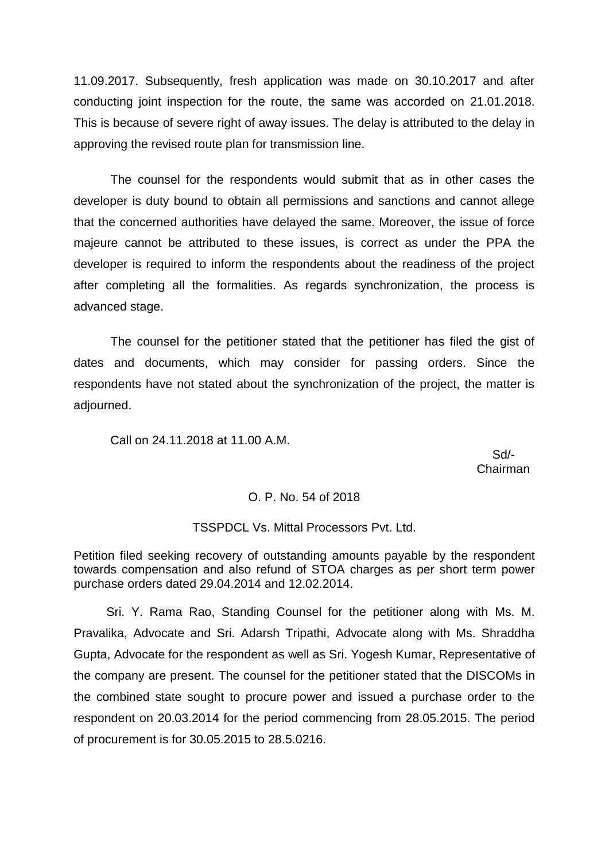11.09.2017. Subsequently, fresh application was made on 30.10.2017 and after conducting joint inspection for the route, the same was accorded on 21.01.2018. This is because of severe right of away issues. The delay is attributed to the delay in approving the revised route plan for transmission line.

The counsel for the respondents would submit that as in other cases the developer is duty bound to obtain all permissions and sanctions and cannot allege that the concerned authorities have delayed the same. Moreover, the issue of force majeure cannot be attributed to these issues, is correct as under the PPA the developer is required to inform the respondents about the readiness of the project after completing all the formalities. As regards synchronization, the process is advanced stage.

The counsel for the petitioner stated that the petitioner has filed the gist of dates and documents, which may consider for passing orders. Since the respondents have not stated about the synchronization of the project, the matter is adjourned.

Call on 24.11.2018 at 11.00 A.M.

 Sd/- Chairman

#### O. P. No. 54 of 2018

#### TSSPDCL Vs. Mittal Processors Pvt. Ltd.

Petition filed seeking recovery of outstanding amounts payable by the respondent towards compensation and also refund of STOA charges as per short term power purchase orders dated 29.04.2014 and 12.02.2014.

Sri. Y. Rama Rao, Standing Counsel for the petitioner along with Ms. M. Pravalika, Advocate and Sri. Adarsh Tripathi, Advocate along with Ms. Shraddha Gupta, Advocate for the respondent as well as Sri. Yogesh Kumar, Representative of the company are present. The counsel for the petitioner stated that the DISCOMs in the combined state sought to procure power and issued a purchase order to the respondent on 20.03.2014 for the period commencing from 28.05.2015. The period of procurement is for 30.05.2015 to 28.5.0216.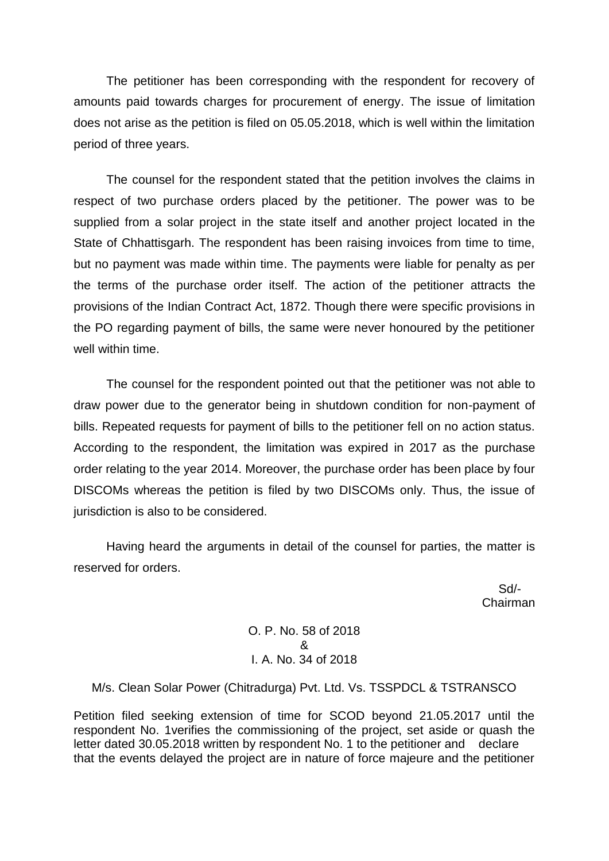The petitioner has been corresponding with the respondent for recovery of amounts paid towards charges for procurement of energy. The issue of limitation does not arise as the petition is filed on 05.05.2018, which is well within the limitation period of three years.

The counsel for the respondent stated that the petition involves the claims in respect of two purchase orders placed by the petitioner. The power was to be supplied from a solar project in the state itself and another project located in the State of Chhattisgarh. The respondent has been raising invoices from time to time, but no payment was made within time. The payments were liable for penalty as per the terms of the purchase order itself. The action of the petitioner attracts the provisions of the Indian Contract Act, 1872. Though there were specific provisions in the PO regarding payment of bills, the same were never honoured by the petitioner well within time.

The counsel for the respondent pointed out that the petitioner was not able to draw power due to the generator being in shutdown condition for non-payment of bills. Repeated requests for payment of bills to the petitioner fell on no action status. According to the respondent, the limitation was expired in 2017 as the purchase order relating to the year 2014. Moreover, the purchase order has been place by four DISCOMs whereas the petition is filed by two DISCOMs only. Thus, the issue of jurisdiction is also to be considered.

Having heard the arguments in detail of the counsel for parties, the matter is reserved for orders.

 Sd/- Chairman

> O. P. No. 58 of 2018 & I. A. No. 34 of 2018

M/s. Clean Solar Power (Chitradurga) Pvt. Ltd. Vs. TSSPDCL & TSTRANSCO

Petition filed seeking extension of time for SCOD beyond 21.05.2017 until the respondent No. 1verifies the commissioning of the project, set aside or quash the letter dated 30.05.2018 written by respondent No. 1 to the petitioner and declare that the events delayed the project are in nature of force majeure and the petitioner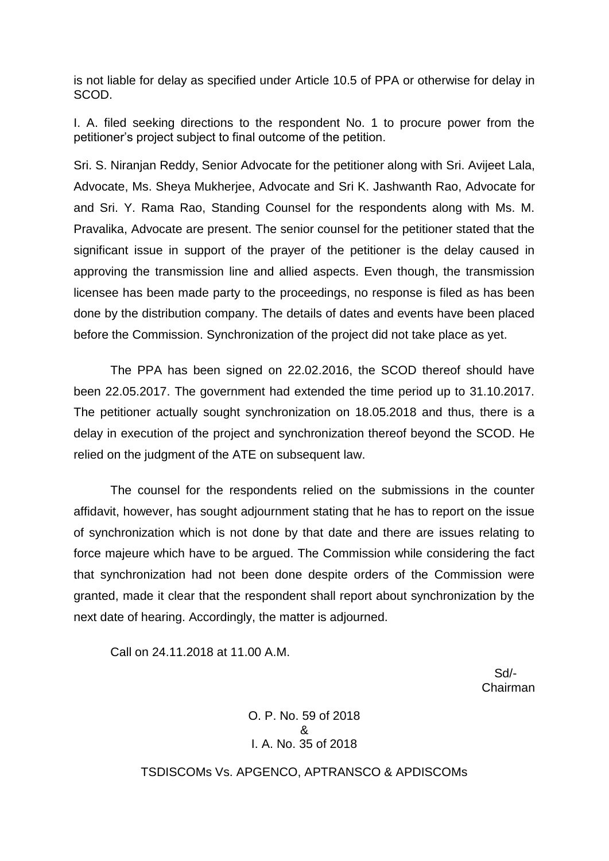is not liable for delay as specified under Article 10.5 of PPA or otherwise for delay in SCOD.

I. A. filed seeking directions to the respondent No. 1 to procure power from the petitioner's project subject to final outcome of the petition.

Sri. S. Niranjan Reddy, Senior Advocate for the petitioner along with Sri. Avijeet Lala, Advocate, Ms. Sheya Mukherjee, Advocate and Sri K. Jashwanth Rao, Advocate for and Sri. Y. Rama Rao, Standing Counsel for the respondents along with Ms. M. Pravalika, Advocate are present. The senior counsel for the petitioner stated that the significant issue in support of the prayer of the petitioner is the delay caused in approving the transmission line and allied aspects. Even though, the transmission licensee has been made party to the proceedings, no response is filed as has been done by the distribution company. The details of dates and events have been placed before the Commission. Synchronization of the project did not take place as yet.

The PPA has been signed on 22.02.2016, the SCOD thereof should have been 22.05.2017. The government had extended the time period up to 31.10.2017. The petitioner actually sought synchronization on 18.05.2018 and thus, there is a delay in execution of the project and synchronization thereof beyond the SCOD. He relied on the judgment of the ATE on subsequent law.

The counsel for the respondents relied on the submissions in the counter affidavit, however, has sought adjournment stating that he has to report on the issue of synchronization which is not done by that date and there are issues relating to force majeure which have to be argued. The Commission while considering the fact that synchronization had not been done despite orders of the Commission were granted, made it clear that the respondent shall report about synchronization by the next date of hearing. Accordingly, the matter is adjourned.

Call on 24.11.2018 at 11.00 A.M.

 Sd/- Chairman

> O. P. No. 59 of 2018 & I. A. No. 35 of 2018

TSDISCOMs Vs. APGENCO, APTRANSCO & APDISCOMs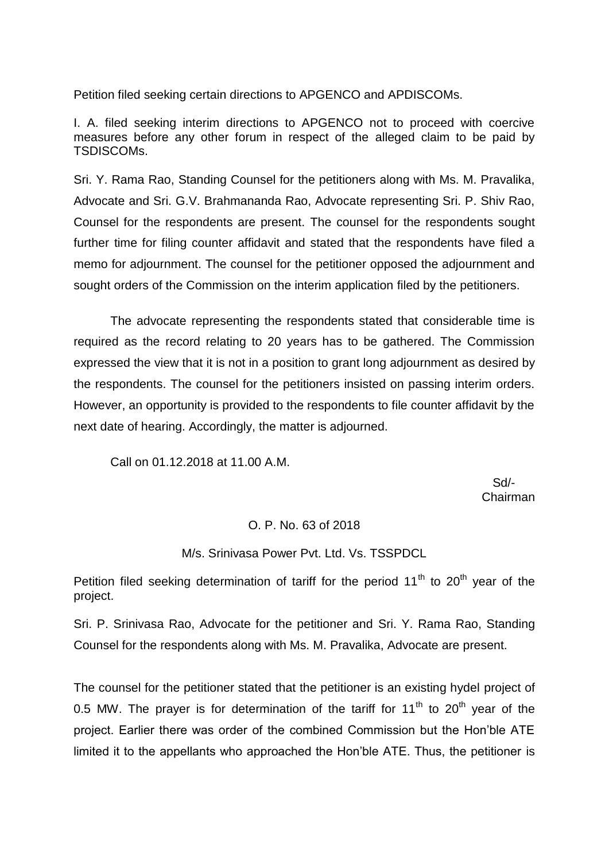Petition filed seeking certain directions to APGENCO and APDISCOMs.

I. A. filed seeking interim directions to APGENCO not to proceed with coercive measures before any other forum in respect of the alleged claim to be paid by TSDISCOMs.

Sri. Y. Rama Rao, Standing Counsel for the petitioners along with Ms. M. Pravalika, Advocate and Sri. G.V. Brahmananda Rao, Advocate representing Sri. P. Shiv Rao, Counsel for the respondents are present. The counsel for the respondents sought further time for filing counter affidavit and stated that the respondents have filed a memo for adjournment. The counsel for the petitioner opposed the adjournment and sought orders of the Commission on the interim application filed by the petitioners.

The advocate representing the respondents stated that considerable time is required as the record relating to 20 years has to be gathered. The Commission expressed the view that it is not in a position to grant long adjournment as desired by the respondents. The counsel for the petitioners insisted on passing interim orders. However, an opportunity is provided to the respondents to file counter affidavit by the next date of hearing. Accordingly, the matter is adjourned.

Call on 01.12.2018 at 11.00 A.M.

 Sd/- Chairman

## O. P. No. 63 of 2018

#### M/s. Srinivasa Power Pvt. Ltd. Vs. TSSPDCL

Petition filed seeking determination of tariff for the period  $11<sup>th</sup>$  to  $20<sup>th</sup>$  year of the project.

Sri. P. Srinivasa Rao, Advocate for the petitioner and Sri. Y. Rama Rao, Standing Counsel for the respondents along with Ms. M. Pravalika, Advocate are present.

The counsel for the petitioner stated that the petitioner is an existing hydel project of 0.5 MW. The prayer is for determination of the tariff for  $11<sup>th</sup>$  to  $20<sup>th</sup>$  vear of the project. Earlier there was order of the combined Commission but the Hon'ble ATE limited it to the appellants who approached the Hon'ble ATE. Thus, the petitioner is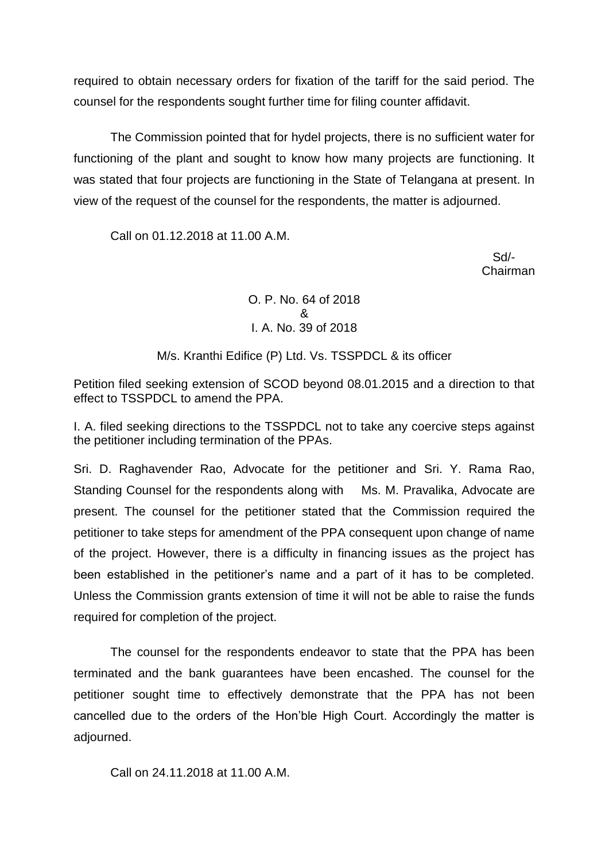required to obtain necessary orders for fixation of the tariff for the said period. The counsel for the respondents sought further time for filing counter affidavit.

The Commission pointed that for hydel projects, there is no sufficient water for functioning of the plant and sought to know how many projects are functioning. It was stated that four projects are functioning in the State of Telangana at present. In view of the request of the counsel for the respondents, the matter is adjourned.

Call on 01.12.2018 at 11.00 A.M.

 Sd/- Chairman

> O. P. No. 64 of 2018 & I. A. No. 39 of 2018

M/s. Kranthi Edifice (P) Ltd. Vs. TSSPDCL & its officer

Petition filed seeking extension of SCOD beyond 08.01.2015 and a direction to that effect to TSSPDCL to amend the PPA.

I. A. filed seeking directions to the TSSPDCL not to take any coercive steps against the petitioner including termination of the PPAs.

Sri. D. Raghavender Rao, Advocate for the petitioner and Sri. Y. Rama Rao, Standing Counsel for the respondents along with Ms. M. Pravalika, Advocate are present. The counsel for the petitioner stated that the Commission required the petitioner to take steps for amendment of the PPA consequent upon change of name of the project. However, there is a difficulty in financing issues as the project has been established in the petitioner's name and a part of it has to be completed. Unless the Commission grants extension of time it will not be able to raise the funds required for completion of the project.

The counsel for the respondents endeavor to state that the PPA has been terminated and the bank guarantees have been encashed. The counsel for the petitioner sought time to effectively demonstrate that the PPA has not been cancelled due to the orders of the Hon'ble High Court. Accordingly the matter is adjourned.

Call on 24.11.2018 at 11.00 A.M.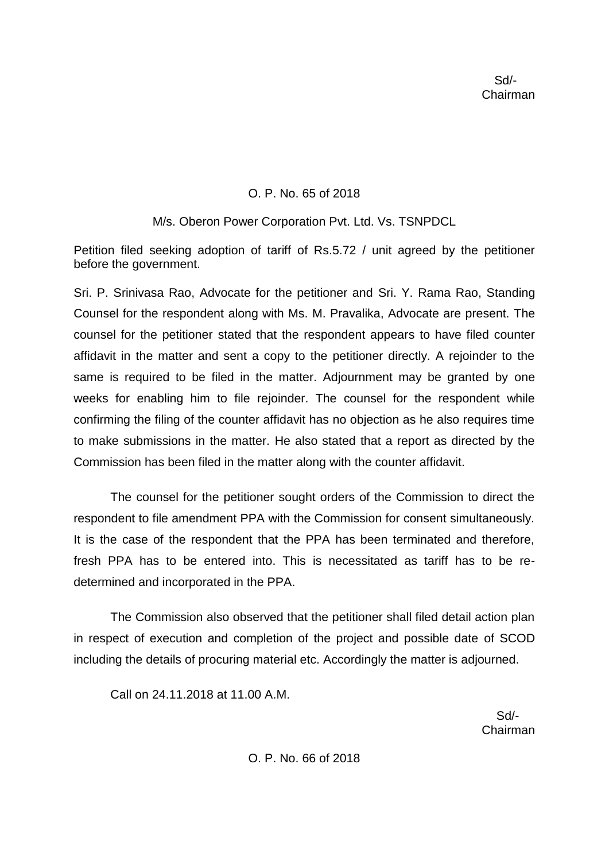# O. P. No. 65 of 2018

## M/s. Oberon Power Corporation Pvt. Ltd. Vs. TSNPDCL

Petition filed seeking adoption of tariff of Rs.5.72 / unit agreed by the petitioner before the government.

Sri. P. Srinivasa Rao, Advocate for the petitioner and Sri. Y. Rama Rao, Standing Counsel for the respondent along with Ms. M. Pravalika, Advocate are present. The counsel for the petitioner stated that the respondent appears to have filed counter affidavit in the matter and sent a copy to the petitioner directly. A rejoinder to the same is required to be filed in the matter. Adjournment may be granted by one weeks for enabling him to file rejoinder. The counsel for the respondent while confirming the filing of the counter affidavit has no objection as he also requires time to make submissions in the matter. He also stated that a report as directed by the Commission has been filed in the matter along with the counter affidavit.

The counsel for the petitioner sought orders of the Commission to direct the respondent to file amendment PPA with the Commission for consent simultaneously. It is the case of the respondent that the PPA has been terminated and therefore, fresh PPA has to be entered into. This is necessitated as tariff has to be redetermined and incorporated in the PPA.

The Commission also observed that the petitioner shall filed detail action plan in respect of execution and completion of the project and possible date of SCOD including the details of procuring material etc. Accordingly the matter is adjourned.

Call on 24.11.2018 at 11.00 A.M.

 Sd/- Chairman

O. P. No. 66 of 2018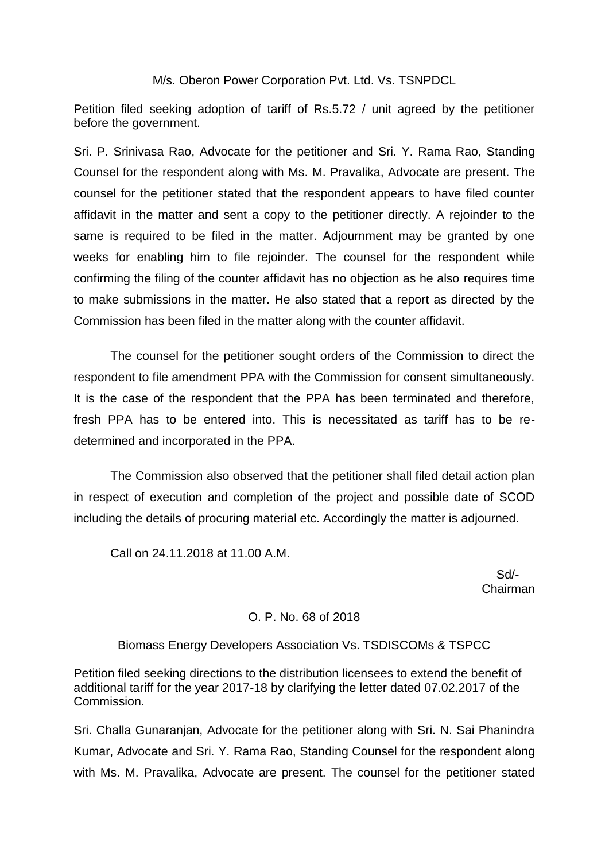### M/s. Oberon Power Corporation Pvt. Ltd. Vs. TSNPDCL

Petition filed seeking adoption of tariff of Rs.5.72 / unit agreed by the petitioner before the government.

Sri. P. Srinivasa Rao, Advocate for the petitioner and Sri. Y. Rama Rao, Standing Counsel for the respondent along with Ms. M. Pravalika, Advocate are present. The counsel for the petitioner stated that the respondent appears to have filed counter affidavit in the matter and sent a copy to the petitioner directly. A rejoinder to the same is required to be filed in the matter. Adjournment may be granted by one weeks for enabling him to file rejoinder. The counsel for the respondent while confirming the filing of the counter affidavit has no objection as he also requires time to make submissions in the matter. He also stated that a report as directed by the Commission has been filed in the matter along with the counter affidavit.

The counsel for the petitioner sought orders of the Commission to direct the respondent to file amendment PPA with the Commission for consent simultaneously. It is the case of the respondent that the PPA has been terminated and therefore, fresh PPA has to be entered into. This is necessitated as tariff has to be redetermined and incorporated in the PPA.

The Commission also observed that the petitioner shall filed detail action plan in respect of execution and completion of the project and possible date of SCOD including the details of procuring material etc. Accordingly the matter is adjourned.

Call on 24.11.2018 at 11.00 A.M.

 Sd/- Chairman

## O. P. No. 68 of 2018

#### Biomass Energy Developers Association Vs. TSDISCOMs & TSPCC

Petition filed seeking directions to the distribution licensees to extend the benefit of additional tariff for the year 2017-18 by clarifying the letter dated 07.02.2017 of the Commission.

Sri. Challa Gunaranjan, Advocate for the petitioner along with Sri. N. Sai Phanindra Kumar, Advocate and Sri. Y. Rama Rao, Standing Counsel for the respondent along with Ms. M. Pravalika, Advocate are present. The counsel for the petitioner stated